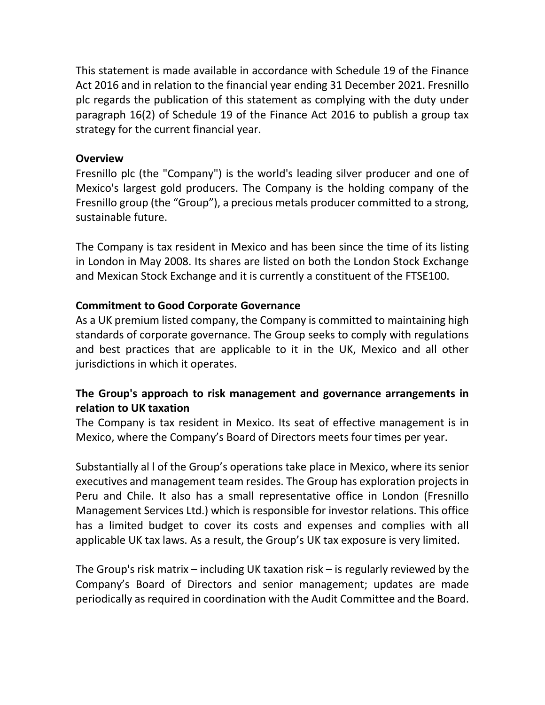This statement is made available in accordance with Schedule 19 of the Finance Act 2016 and in relation to the financial year ending 31 December 2021. Fresnillo plc regards the publication of this statement as complying with the duty under paragraph 16(2) of Schedule 19 of the Finance Act 2016 to publish a group tax strategy for the current financial year.

#### **Overview**

Fresnillo plc (the "Company") is the world's leading silver producer and one of Mexico's largest gold producers. The Company is the holding company of the Fresnillo group (the "Group"), a precious metals producer committed to a strong, sustainable future.

The Company is tax resident in Mexico and has been since the time of its listing in London in May 2008. Its shares are listed on both the London Stock Exchange and Mexican Stock Exchange and it is currently a constituent of the FTSE100.

## **Commitment to Good Corporate Governance**

As a UK premium listed company, the Company is committed to maintaining high standards of corporate governance. The Group seeks to comply with regulations and best practices that are applicable to it in the UK, Mexico and all other jurisdictions in which it operates.

# **The Group's approach to risk management and governance arrangements in relation to UK taxation**

The Company is tax resident in Mexico. Its seat of effective management is in Mexico, where the Company's Board of Directors meets four times per year.

Substantially al l of the Group's operations take place in Mexico, where its senior executives and management team resides. The Group has exploration projects in Peru and Chile. It also has a small representative office in London (Fresnillo Management Services Ltd.) which is responsible for investor relations. This office has a limited budget to cover its costs and expenses and complies with all applicable UK tax laws. As a result, the Group's UK tax exposure is very limited.

The Group's risk matrix – including UK taxation risk – is regularly reviewed by the Company's Board of Directors and senior management; updates are made periodically as required in coordination with the Audit Committee and the Board.